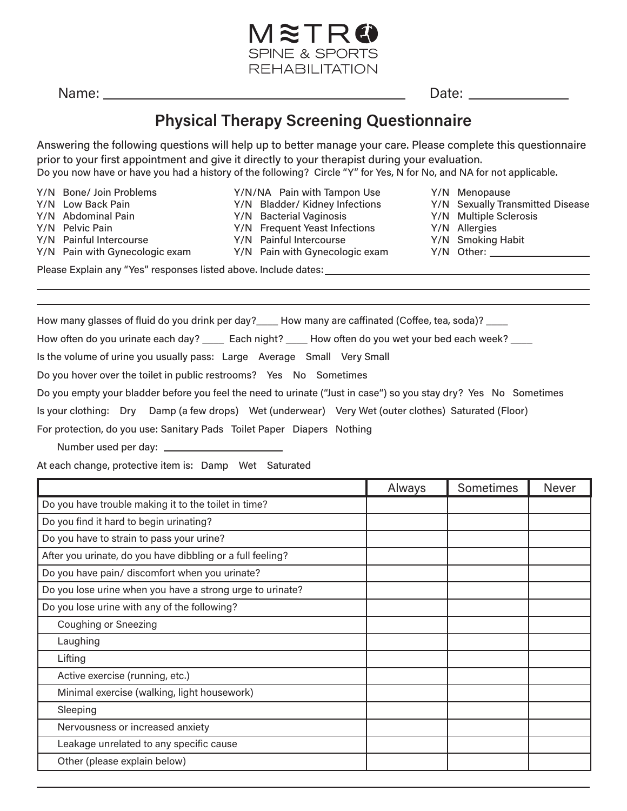

Name: Date:

Y/N Menopause

Y/N Allergies

Y/N Multiple Sclerosis

Y/N Smoking Habit

Y/N Sexually Transmitted Disease

## **Physical Therapy Screening Questionnaire**

Answering the following questions will help up to better manage your care. Please complete this questionnaire prior to your first appointment and give it directly to your therapist during your evaluation. Do you now have or have you had a history of the following? Circle "Y" for Yes, N for No, and NA for not applicable.

Y/N Bone/ Join Problems Y/N Low Back Pain Y/N Abdominal Pain Y/N Pelvic Pain Y/N Painful Intercourse Y/N Pain with Gynecologic exam Y/N/NA Pain with Tampon Use

Y/N Bladder/ Kidney Infections

- Y/N Bacterial Vaginosis
- Y/N Frequent Yeast Infections
- Y/N Painful Intercourse
- Y/N Pain with Gynecologic exam Y/N Other:

Please Explain any "Yes" responses listed above. Include dates:

How many glasses of fluid do you drink per day? Let How many are caffinated (Coffee, tea, soda)?

How often do you urinate each day? Lach night? How often do you wet your bed each week?

Is the volume of urine you usually pass: Large Average Small Very Small

Do you hover over the toilet in public restrooms? Yes No Sometimes

Do you empty your bladder before you feel the need to urinate ("Just in case") so you stay dry? Yes No Sometimes

Is your clothing: Dry Damp (a few drops) Wet (underwear) Very Wet (outer clothes) Saturated (Floor)

For protection, do you use: Sanitary Pads Toilet Paper Diapers Nothing

Number used per day:

At each change, protective item is: Damp Wet Saturated

|                                                            | Always | Sometimes | <b>Never</b> |
|------------------------------------------------------------|--------|-----------|--------------|
| Do you have trouble making it to the toilet in time?       |        |           |              |
| Do you find it hard to begin urinating?                    |        |           |              |
| Do you have to strain to pass your urine?                  |        |           |              |
| After you urinate, do you have dibbling or a full feeling? |        |           |              |
| Do you have pain/ discomfort when you urinate?             |        |           |              |
| Do you lose urine when you have a strong urge to urinate?  |        |           |              |
| Do you lose urine with any of the following?               |        |           |              |
| <b>Coughing or Sneezing</b>                                |        |           |              |
| Laughing                                                   |        |           |              |
| Lifting                                                    |        |           |              |
| Active exercise (running, etc.)                            |        |           |              |
| Minimal exercise (walking, light housework)                |        |           |              |
| Sleeping                                                   |        |           |              |
| Nervousness or increased anxiety                           |        |           |              |
| Leakage unrelated to any specific cause                    |        |           |              |
| Other (please explain below)                               |        |           |              |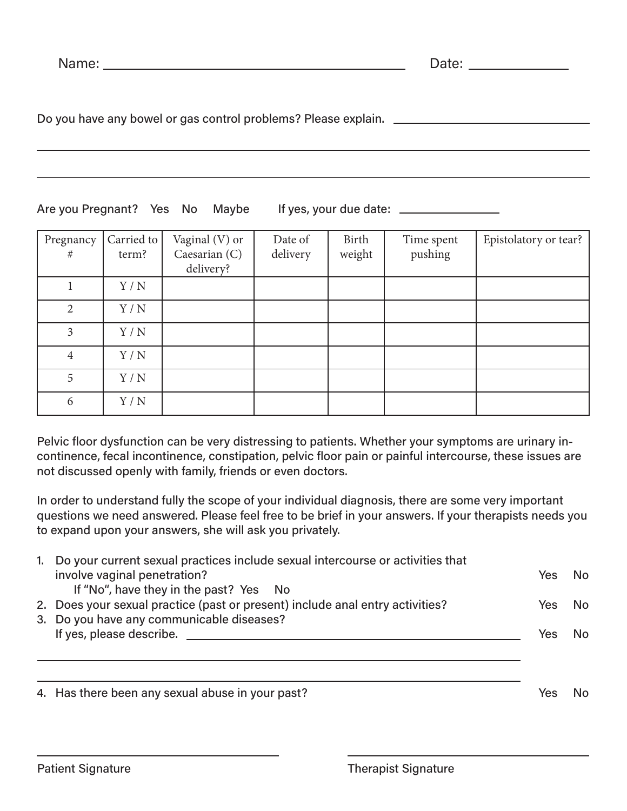Do you have any bowel or gas control problems? Please explain.

## Are you Pregnant? Yes No Maybe If yes, your due date: \_\_\_\_\_\_\_\_\_\_\_\_\_\_\_\_\_\_\_\_\_\_\_\_\_\_

| Pregnancy      | Carried to | Vaginal (V) or | Date of  | Birth  | Time spent | Epistolatory or tear? |
|----------------|------------|----------------|----------|--------|------------|-----------------------|
| #              | term?      | Caesarian (C)  | delivery | weight | pushing    |                       |
|                |            |                |          |        |            |                       |
|                |            | delivery?      |          |        |            |                       |
|                | Y/N        |                |          |        |            |                       |
|                |            |                |          |        |            |                       |
| $\overline{2}$ | Y/N        |                |          |        |            |                       |
|                |            |                |          |        |            |                       |
| $\overline{3}$ | Y/N        |                |          |        |            |                       |
|                |            |                |          |        |            |                       |
| $\overline{4}$ | Y/N        |                |          |        |            |                       |
|                |            |                |          |        |            |                       |
| 5              | Y/N        |                |          |        |            |                       |
|                |            |                |          |        |            |                       |
| 6              | Y/N        |                |          |        |            |                       |
|                |            |                |          |        |            |                       |

Pelvic floor dysfunction can be very distressing to patients. Whether your symptoms are urinary incontinence, fecal incontinence, constipation, pelvic floor pain or painful intercourse, these issues are not discussed openly with family, friends or even doctors.

In order to understand fully the scope of your individual diagnosis, there are some very important questions we need answered. Please feel free to be brief in your answers. If your therapists needs you to expand upon your answers, she will ask you privately.

| 1. | Do your current sexual practices include sexual intercourse or activities that<br>involve vaginal penetration?<br>If "No", have they in the past? Yes No | Yes | No. |
|----|----------------------------------------------------------------------------------------------------------------------------------------------------------|-----|-----|
|    | 2. Does your sexual practice (past or present) include anal entry activities?<br>3. Do you have any communicable diseases?                               | Yes | No. |
|    | If yes, please describe.                                                                                                                                 | Yes | No. |
|    | 4. Has there been any sexual abuse in your past?                                                                                                         | Ye! |     |